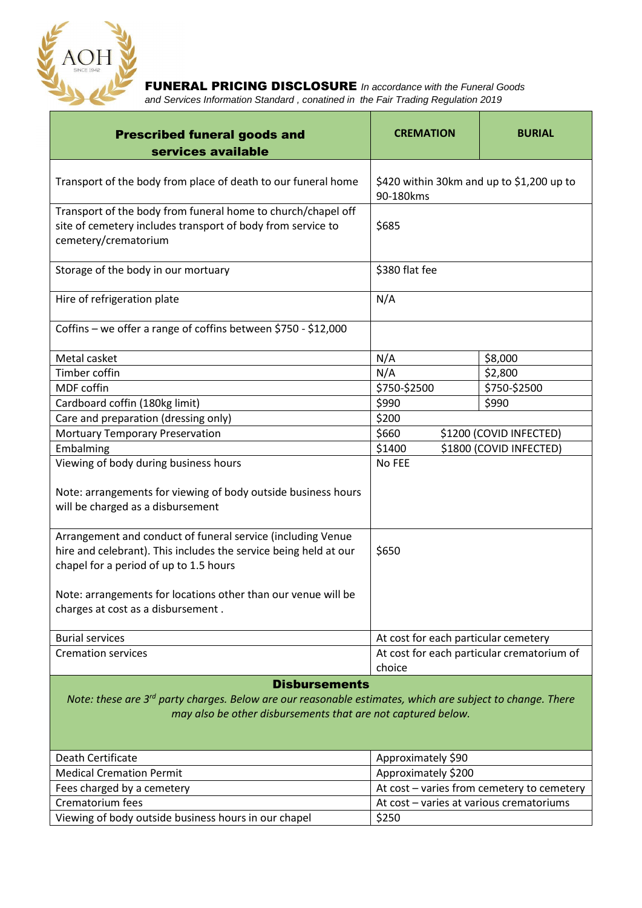

FUNERAL PRICING DISCLOSURE *In accordance with the Funeral Goods and Services Information Standard , conatined in the Fair Trading Regulation 2019* 

| <b>Prescribed funeral goods and</b><br>services available                                                                                                                                                                                                                        | <b>CREMATION</b>                                       | <b>BURIAL</b>           |
|----------------------------------------------------------------------------------------------------------------------------------------------------------------------------------------------------------------------------------------------------------------------------------|--------------------------------------------------------|-------------------------|
|                                                                                                                                                                                                                                                                                  |                                                        |                         |
| Transport of the body from place of death to our funeral home                                                                                                                                                                                                                    | \$420 within 30km and up to \$1,200 up to<br>90-180kms |                         |
| Transport of the body from funeral home to church/chapel off<br>site of cemetery includes transport of body from service to<br>cemetery/crematorium                                                                                                                              | \$685                                                  |                         |
| Storage of the body in our mortuary                                                                                                                                                                                                                                              | \$380 flat fee                                         |                         |
| Hire of refrigeration plate                                                                                                                                                                                                                                                      | N/A                                                    |                         |
| Coffins - we offer a range of coffins between \$750 - \$12,000                                                                                                                                                                                                                   |                                                        |                         |
| Metal casket                                                                                                                                                                                                                                                                     | N/A                                                    | \$8,000                 |
| <b>Timber coffin</b>                                                                                                                                                                                                                                                             | N/A                                                    | \$2,800                 |
| MDF coffin                                                                                                                                                                                                                                                                       | \$750-\$2500                                           | \$750-\$2500            |
| Cardboard coffin (180kg limit)                                                                                                                                                                                                                                                   | \$990                                                  | \$990                   |
| Care and preparation (dressing only)                                                                                                                                                                                                                                             | \$200                                                  |                         |
| <b>Mortuary Temporary Preservation</b>                                                                                                                                                                                                                                           | \$660                                                  | \$1200 (COVID INFECTED) |
| Embalming                                                                                                                                                                                                                                                                        | \$1400                                                 | \$1800 (COVID INFECTED) |
| Viewing of body during business hours                                                                                                                                                                                                                                            | No FEE                                                 |                         |
| Note: arrangements for viewing of body outside business hours<br>will be charged as a disbursement                                                                                                                                                                               |                                                        |                         |
| Arrangement and conduct of funeral service (including Venue<br>hire and celebrant). This includes the service being held at our<br>chapel for a period of up to 1.5 hours<br>Note: arrangements for locations other than our venue will be<br>charges at cost as a disbursement. | \$650                                                  |                         |
|                                                                                                                                                                                                                                                                                  |                                                        |                         |
| <b>Burial services</b>                                                                                                                                                                                                                                                           | At cost for each particular cemetery                   |                         |
| <b>Cremation services</b>                                                                                                                                                                                                                                                        | At cost for each particular crematorium of<br>choice   |                         |
| <b>Disbursements</b><br>Note: these are 3 <sup>rd</sup> party charges. Below are our reasonable estimates, which are subject to change. There<br>may also be other disbursements that are not captured below.                                                                    |                                                        |                         |
| Death Certificate                                                                                                                                                                                                                                                                | Approximately \$90                                     |                         |
| <b>Medical Cremation Permit</b>                                                                                                                                                                                                                                                  | Approximately \$200                                    |                         |

| <b>Medical Cremation Permit</b>                      | Approximately \$200                        |
|------------------------------------------------------|--------------------------------------------|
| Fees charged by a cemetery                           | At cost – varies from cemetery to cemetery |
| Crematorium fees                                     | At cost – varies at various crematoriums   |
| Viewing of body outside business hours in our chapel | \$250                                      |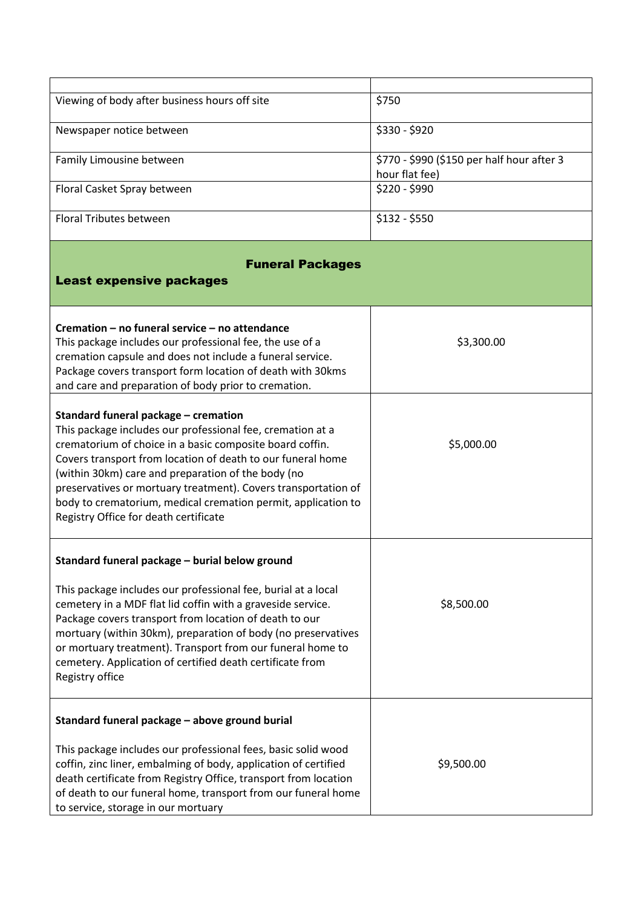| Viewing of body after business hours off site                                                                                                                                                                                                                                                                                                                                                                                                                   | \$750                                                        |  |
|-----------------------------------------------------------------------------------------------------------------------------------------------------------------------------------------------------------------------------------------------------------------------------------------------------------------------------------------------------------------------------------------------------------------------------------------------------------------|--------------------------------------------------------------|--|
| Newspaper notice between                                                                                                                                                                                                                                                                                                                                                                                                                                        | \$330 - \$920                                                |  |
| Family Limousine between                                                                                                                                                                                                                                                                                                                                                                                                                                        | \$770 - \$990 (\$150 per half hour after 3<br>hour flat fee) |  |
| Floral Casket Spray between                                                                                                                                                                                                                                                                                                                                                                                                                                     | $$220 - $990$                                                |  |
| Floral Tributes between                                                                                                                                                                                                                                                                                                                                                                                                                                         | $$132 - $550$                                                |  |
| <b>Funeral Packages</b><br><b>Least expensive packages</b>                                                                                                                                                                                                                                                                                                                                                                                                      |                                                              |  |
| Cremation - no funeral service - no attendance<br>This package includes our professional fee, the use of a<br>cremation capsule and does not include a funeral service.<br>Package covers transport form location of death with 30kms<br>and care and preparation of body prior to cremation.                                                                                                                                                                   | \$3,300.00                                                   |  |
| Standard funeral package - cremation<br>This package includes our professional fee, cremation at a<br>crematorium of choice in a basic composite board coffin.<br>Covers transport from location of death to our funeral home<br>(within 30km) care and preparation of the body (no<br>preservatives or mortuary treatment). Covers transportation of<br>body to crematorium, medical cremation permit, application to<br>Registry Office for death certificate | \$5,000.00                                                   |  |
| Standard funeral package - burial below ground<br>This package includes our professional fee, burial at a local<br>cemetery in a MDF flat lid coffin with a graveside service.<br>Package covers transport from location of death to our<br>mortuary (within 30km), preparation of body (no preservatives<br>or mortuary treatment). Transport from our funeral home to<br>cemetery. Application of certified death certificate from<br>Registry office         | \$8,500.00                                                   |  |
| Standard funeral package - above ground burial<br>This package includes our professional fees, basic solid wood<br>coffin, zinc liner, embalming of body, application of certified<br>death certificate from Registry Office, transport from location<br>of death to our funeral home, transport from our funeral home<br>to service, storage in our mortuary                                                                                                   | \$9,500.00                                                   |  |